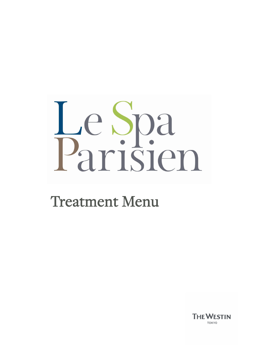# Le Spa<br>Parisien

# Treatment Menu

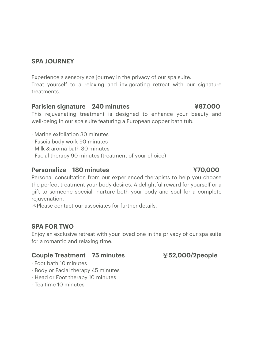# **SPA JOURNEY**

Experience a sensory spa journey in the privacy of our spa suite. Treat yourself to a relaxing and invigorating retreat with our signature treatments.

### **Parisien signature 240 minutes ¥87,000**

 This rejuvenating treatment is designed to enhance your beauty and well-being in our spa suite featuring a European copper bath tub.

- Marine exfoliation 30 minutes
- Fascia body work 90 minutes
- Milk & aroma bath 30 minutes
- Facial therapy 90 minutes (treatment of your choice)

### **Personalize 180 minutes 470,000**

 Personal consultation from our experienced therapists to help you choose the perfect treatment your body desires. A delightful reward for yourself or a gift to someone special -nurture both your body and soul for a complete rejuvenation.

\*Please contact our associates for further details.

### **SPA FOR TWO**

Enjoy an exclusive retreat with your loved one in the privacy of our spa suite for a romantic and relaxing time.

### **Couple Treatment 75 minutes** ¥**52,000/2people**

- Foot bath 10 minutes
- Body or Facial therapy 45 minutes
- Head or Foot therapy 10 minutes
- Tea time 10 minutes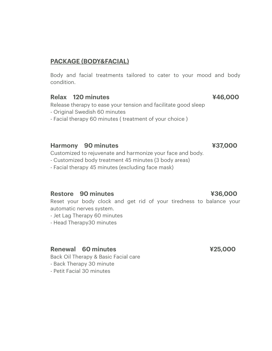# **PACKAGE (BODY&FACIAL)**

Body and facial treatments tailored to cater to your mood and body condition.

### **Relax 120 minutes 1996 120 x 446,000**  $\frac{446,000}{4}$

Release therapy to ease your tension and facilitate good sleep

- Original Swedish 60 minutes
- Facial therapy 60 minutes ( treatment of your choice )

### **Harmony 90 minutes ¥37,000**

Customized to rejuvenate and harmonize your face and body.

- Customized body treatment 45 minutes (3 body areas)
- Facial therapy 45 minutes (excluding face mask)

### **Restore 90 minutes ¥36,000**

Reset your body clock and get rid of your tiredness to balance your automatic nerves system.

- Jet Lag Therapy 60 minutes
- Head Therapy30 minutes

### **Renewal 60 minutes 1996 1997 1998 1998 1999 1998 1999 1998 1999 1998 1999 1999 1999 1999 1999 1999 1999 1999 1999 1999 1999 1999 1999 1999 1999 1999 1999 1999 1999 1999 1999 1999 1999 1999 1999 1999 1999 1999 1999 1999 19**

Back Oil Therapy & Basic Facial care

- Back Therapy 30 minute
- Petit Facial 30 minutes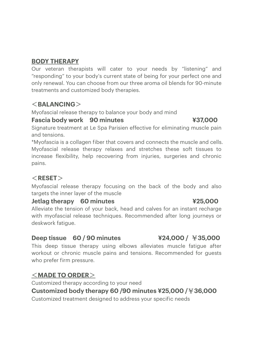# **BODY THERAPY**

Our veteran therapists will cater to your needs by "listening" and "responding" to your body's current state of being for your perfect one and only renewal. You can choose from our three aroma oil blends for 90-minute treatments and customized body therapies.

# <**BALANCING**>

Myofascial release therapy to balance your body and mind

### **Fascia body work 90 minutes ¥37,000**

Signature treatment at Le Spa Parisien effective for eliminating muscle pain and tensions.

 Myofascial release therapy relaxes and stretches these soft tissues to \*Myofascia is a collagen fiber that covers and connects the muscle and cells. increase flexibility, help recovering from injuries, surgeries and chronic pains.

# <**RESET**>

 Myofascial release therapy focusing on the back of the body and also targets the inner layer of the muscle

### **1** Jetlag therapy 60 minutes **XXX 425,000**

 Alleviate the tension of your back, head and calves for an instant recharge with myofascial release techniques. Recommended after long journeys or deskwork fatigue.

### **Deep tissue 60 / 90 minutes ¥24,000 /** ¥**35,000**

This deep tissue therapy using elbows alleviates muscle fatigue after workout or chronic muscle pains and tensions. Recommended for guests who prefer firm pressure.

### <**MADE TO ORDER**>

Customized therapy according to your need

### **Customized body therapy 60 /90 minutes ¥25,000 /**¥**36,000**

Customized treatment designed to address your specific needs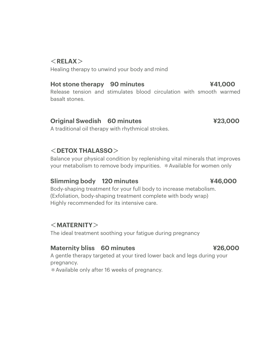# <**RELAX**>

Healing therapy to unwind your body and mind

### **Hot stone therapy 90 minutes And Advantage 441,000**

Release tension and stimulates blood circulation with smooth warmed basalt stones.

### **Original Swedish 60 minutes ¥23,000**

A traditional oil therapy with rhythmical strokes.

# <**DETOX THALASSO**>

 Balance your physical condition by replenishing vital minerals that improves your metabolism to remove body impurities. \*Available for women only

### **Slimming body 120 minutes 446,000**

 Body-shaping treatment for your full body to increase metabolism. (Exfoliation, body-shaping treatment complete with body wrap) Highly recommended for its intensive care.

# <**MATERNITY**>

The ideal treatment soothing your fatigue during pregnancy

### **Maternity bliss 60 minutes 426,000 Maternity bliss 60 minutes**

 A gentle therapy targeted at your tired lower back and legs during your pregnancy.

\*Available only after 16 weeks of pregnancy.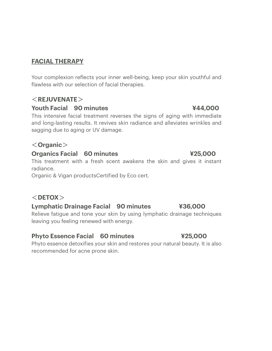# **FACIAL THERAPY**

 Your complexion reflects your inner well-being, keep your skin youthful and flawless with our selection of facial therapies.

# <**REJUVENATE**>

### **Youth Facial 90 minutes ¥44,000**

This intensive facial treatment reverses the signs of aging with immediate and long-lasting results. It revives skin radiance and alleviates wrinkles and sagging due to aging or UV damage.

# <**Organic**>

### **Organics Facial 60 minutes ¥25,000**

This treatment with a fresh scent awakens the skin and gives it instant radiance.

Organic & Vigan productsCertified by Eco cert.

# <**DETOX**>

# **Lymphatic Drainage Facial 90 minutes ¥36,000**

Relieve fatigue and tone your skin by using lymphatic drainage techniques leaving you feeling renewed with energy.

# **Phyto Essence Facial 60 minutes ¥25,000**

 Phyto essence detoxifies your skin and restores your natural beauty. It is also recommended for acne prone skin.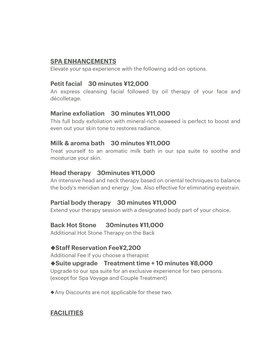### **SPA ENHANCEMENTS**

Elevate your spa experience with the following add-on options.

### **Petit facial 30 minutes ¥12,000**

 An express cleansing facial followed by oil therapy of your face and décolletage.

# **Marine exfoliation 30 minutes ¥11,000**

This full body exfoliation with mineral-rich seaweed is perfect to boost and even out your skin tone to restores radiance.

# **Milk & aroma bath 30 minutes ¥11,000**

Treat yourself to an aromatic milk bath in our spa suite to soothe and moisturize your skin.

### **Head therapy 30minutes ¥11,000**

An intensive head and neck therapy based on oriental techniques to balance the body's meridian and energy low. Also effective for eliminating eyestrain.

# **Partial body therapy 30 minutes ¥11,000**

Extend your therapy session with a designated body part of your choice.

### **Back Hot Stone Back Hot Stone 30minutes ¥11,000**

Additional Hot Stone Therapy on the Back

### ◆**Staff Reservation Fee¥2,200**

Additional Fee if you choose a therapist

# ◆**Suite upgrade Treatment time + 10 minutes ¥8,000**

Upgrade to our spa suite for an exclusive experience for two persons. (except for Spa Voyage and Couple Treatment)

◆Any Discounts are not applicable for these two.

# **FACILITIES**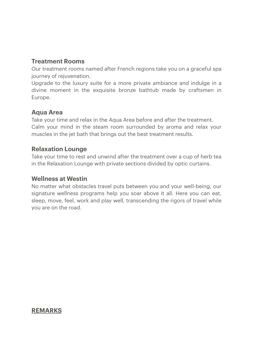### **Treatment Rooms**

 Our treatment rooms named after French regions take you on a graceful spa journey of rejuvenation.

Upgrade to the luxury suite for a more private ambiance and indulge in a divine moment in the exquisite bronze bathtub made by craftsmen in Europe.

### **Aqua Area**

 Take your time and relax in the Aqua Area before and after the treatment. muscles in the jet bath that brings out the best treatment results. Calm your mind in the steam room surrounded by aroma and relax your

### **Relaxation Lounge**

 in the Relaxation Lounge with private sections divided by optic curtains. Take your time to rest and unwind after the treatment over a cup of herb tea

### **Wellness at Westin**

 No matter what obstacles travel puts between you and your well-being, our signature wellness programs help you soar above it all. Here you can eat, sleep, move, feel, work and play well, transcending the rigors of travel while you are on the road.

### **REMARKS**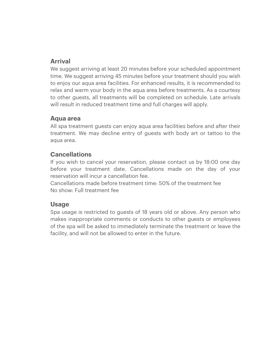# **Arrival**

 to enjoy our aqua area facilities. For enhanced results, it is recommended to relax and warm your body in the aqua area before treatments. As a courtesy to other guests, all treatments will be completed on schedule. Late arrivals We suggest arriving at least 20 minutes before your scheduled appointment time. We suggest arriving 45 minutes before your treatment should you wish will result in reduced treatment time and full charges will apply.

### **Aqua area**

 All spa treatment guests can enjoy aqua area facilities before and after their treatment. We may decline entry of guests with body art or tattoo to the aqua area.

### **Cancellations**

 before your treatment date. Cancellations made on the day of your reservation will incur a cancellation fee. If you wish to cancel your reservation, please contact us by 18:00 one day

 Cancellations made before treatment time: 50% of the treatment fee No show: Full treatment fee

### **Usage**

 Spa usage is restricted to guests of 18 years old or above. Any person who makes inappropriate comments or conducts to other guests or employees of the spa will be asked to immediately terminate the treatment or leave the facility, and will not be allowed to enter in the future.